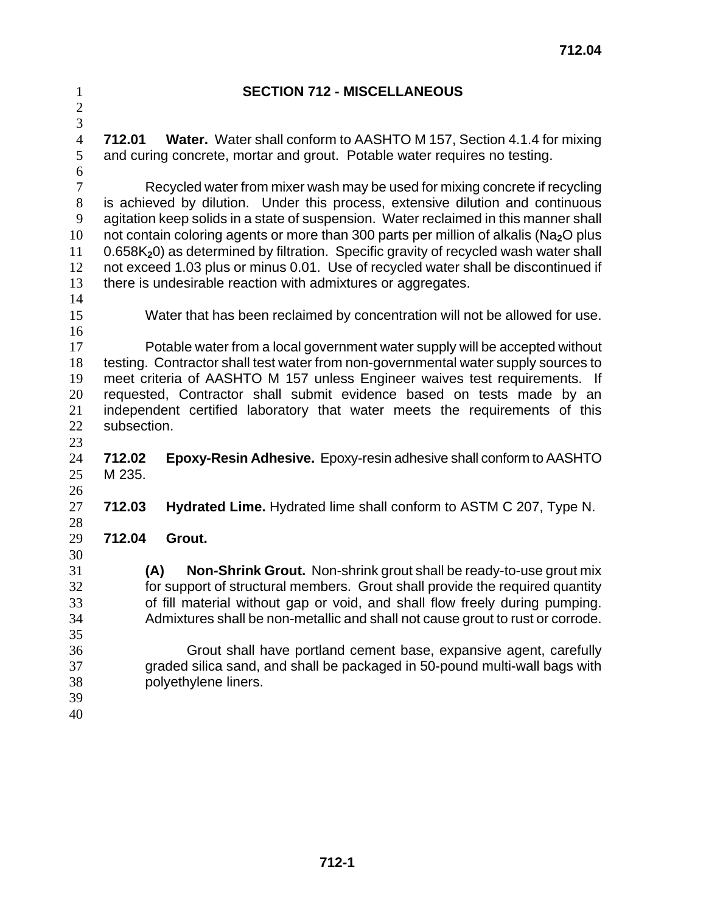## **SECTION 712 - MISCELLANEOUS**

**712.01 Water.** Water shall conform to AASHTO M 157, Section 4.1.4 for mixing and curing concrete, mortar and grout. Potable water requires no testing.

 

Recycled water from mixer wash may be used for mixing concrete if recycling is achieved by dilution. Under this process, extensive dilution and continuous agitation keep solids in a state of suspension. Water reclaimed in this manner shall not contain coloring agents or more than 300 parts per million of alkalis (Na**2**O plus 0.658K**2**0) as determined by filtration. Specific gravity of recycled wash water shall not exceed 1.03 plus or minus 0.01. Use of recycled water shall be discontinued if there is undesirable reaction with admixtures or aggregates.

Water that has been reclaimed by concentration will not be allowed for use.

- Potable water from a local government water supply will be accepted without testing. Contractor shall test water from non-governmental water supply sources to meet criteria of AASHTO M 157 unless Engineer waives test requirements. If requested, Contractor shall submit evidence based on tests made by an independent certified laboratory that water meets the requirements of this subsection.
- **712.02 Epoxy-Resin Adhesive.** Epoxy-resin adhesive shall conform to AASHTO M 235.
- **712.03 Hydrated Lime.** Hydrated lime shall conform to ASTM C 207, Type N.
- 

- **712.04 Grout.**
- **(A) Non-Shrink Grout.** Non-shrink grout shall be ready-to-use grout mix for support of structural members. Grout shall provide the required quantity of fill material without gap or void, and shall flow freely during pumping. Admixtures shall be non-metallic and shall not cause grout to rust or corrode.
- Grout shall have portland cement base, expansive agent, carefully graded silica sand, and shall be packaged in 50-pound multi-wall bags with polyethylene liners.
-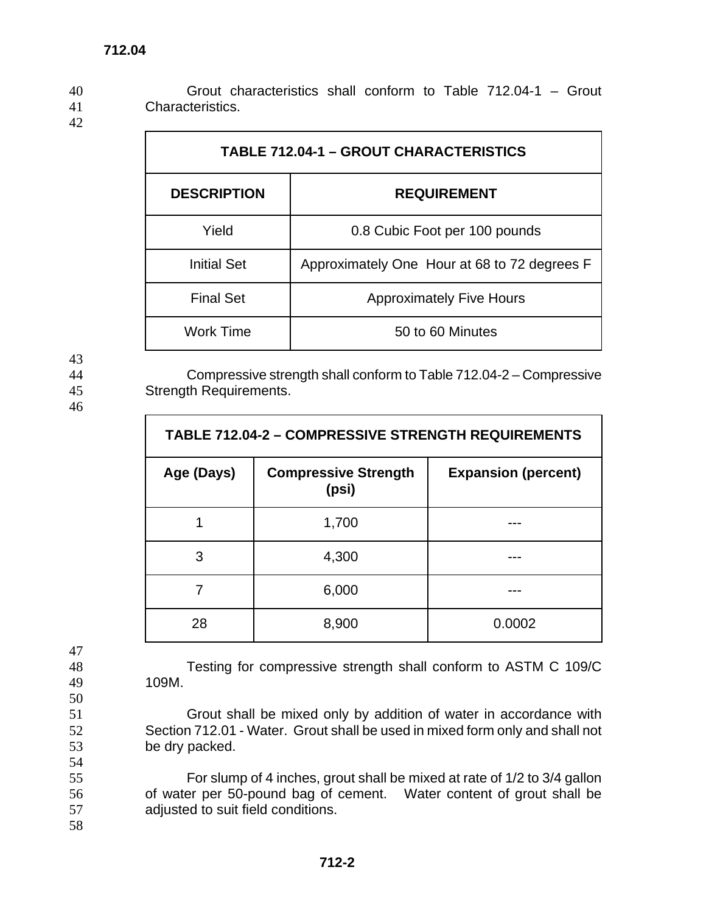40 Grout characteristics shall conform to Table 712.04-1 – Grout 41 Characteristics.

42

| <b>TABLE 712.04-1 - GROUT CHARACTERISTICS</b> |                                              |  |
|-----------------------------------------------|----------------------------------------------|--|
| <b>DESCRIPTION</b><br><b>REQUIREMENT</b>      |                                              |  |
| Yield                                         | 0.8 Cubic Foot per 100 pounds                |  |
| <b>Initial Set</b>                            | Approximately One Hour at 68 to 72 degrees F |  |
| <b>Final Set</b>                              | <b>Approximately Five Hours</b>              |  |
| <b>Work Time</b>                              | 50 to 60 Minutes                             |  |

43

46

44 Compressive strength shall conform to Table 712.04-2 – Compressive 45 Strength Requirements.

| <b>TABLE 712.04-2 - COMPRESSIVE STRENGTH REQUIREMENTS</b> |                                      |                            |
|-----------------------------------------------------------|--------------------------------------|----------------------------|
| Age (Days)                                                | <b>Compressive Strength</b><br>(psi) | <b>Expansion (percent)</b> |
|                                                           | 1,700                                |                            |
| 3                                                         | 4,300                                |                            |
|                                                           | 6,000                                |                            |
| 28                                                        | 8,900                                | 0.0002                     |

47

50

54

49 109M.

48 Testing for compressive strength shall conform to ASTM C 109/C

51 Grout shall be mixed only by addition of water in accordance with 52 Section 712.01 - Water. Grout shall be used in mixed form only and shall not 53 be dry packed.

55 For slump of 4 inches, grout shall be mixed at rate of 1/2 to 3/4 gallon 56 of water per 50-pound bag of cement. Water content of grout shall be 57 adjusted to suit field conditions.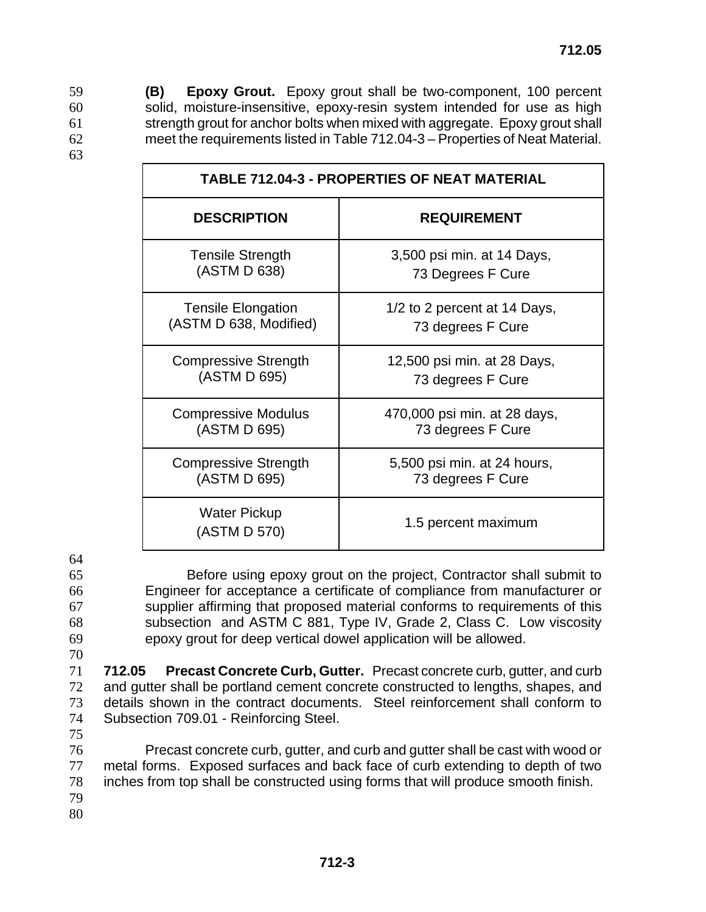**(B) Epoxy Grout.** Epoxy grout shall be two-component, 100 percent solid, moisture-insensitive, epoxy-resin system intended for use as high strength grout for anchor bolts when mixed with aggregate. Epoxy grout shall meet the requirements listed in Table 712.04-3 – Properties of Neat Material.

| <b>TABLE 712.04-3 - PROPERTIES OF NEAT MATERIAL</b> |                              |  |
|-----------------------------------------------------|------------------------------|--|
| <b>DESCRIPTION</b>                                  | <b>REQUIREMENT</b>           |  |
| <b>Tensile Strength</b>                             | 3,500 psi min. at 14 Days,   |  |
| (ASTM D 638)                                        | 73 Degrees F Cure            |  |
| <b>Tensile Elongation</b>                           | 1/2 to 2 percent at 14 Days, |  |
| (ASTM D 638, Modified)                              | 73 degrees F Cure            |  |
| <b>Compressive Strength</b>                         | 12,500 psi min. at 28 Days,  |  |
| (ASTM D 695)                                        | 73 degrees F Cure            |  |
| <b>Compressive Modulus</b>                          | 470,000 psi min. at 28 days, |  |
| (ASTM D 695)                                        | 73 degrees F Cure            |  |
| <b>Compressive Strength</b>                         | 5,500 psi min. at 24 hours,  |  |
| (ASTM D 695)                                        | 73 degrees F Cure            |  |
| <b>Water Pickup</b><br>(ASTM D 570)                 | 1.5 percent maximum          |  |

64

63

- 
- 

Before using epoxy grout on the project, Contractor shall submit to Engineer for acceptance a certificate of compliance from manufacturer or supplier affirming that proposed material conforms to requirements of this subsection and ASTM C 881, Type IV, Grade 2, Class C. Low viscosity epoxy grout for deep vertical dowel application will be allowed.

70

**712.05 Precast Concrete Curb, Gutter.** Precast concrete curb, gutter, and curb and gutter shall be portland cement concrete constructed to lengths, shapes, and details shown in the contract documents. Steel reinforcement shall conform to Subsection 709.01 - Reinforcing Steel.

75

Precast concrete curb, gutter, and curb and gutter shall be cast with wood or metal forms. Exposed surfaces and back face of curb extending to depth of two inches from top shall be constructed using forms that will produce smooth finish. 79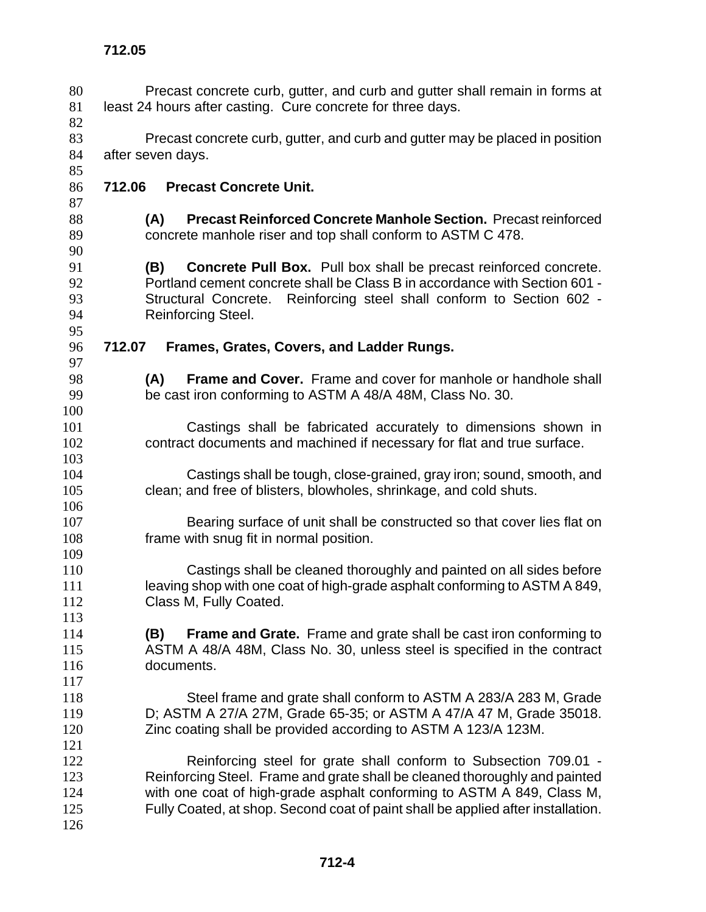Precast concrete curb, gutter, and curb and gutter shall remain in forms at 81 least 24 hours after casting. Cure concrete for three days. Precast concrete curb, gutter, and curb and gutter may be placed in position after seven days. **712.05 712.06 Precast Concrete Unit. (A) Precast Reinforced Concrete Manhole Section.** Precast reinforced concrete manhole riser and top shall conform to ASTM C 478. **(B) Concrete Pull Box.** Pull box shall be precast reinforced concrete. Portland cement concrete shall be Class B in accordance with Section 601 - Structural Concrete. Reinforcing steel shall conform to Section 602 - Reinforcing Steel. **712.07 Frames, Grates, Covers, and Ladder Rungs. (A) Frame and Cover.** Frame and cover for manhole or handhole shall be cast iron conforming to ASTM A 48/A 48M, Class No. 30. Castings shall be fabricated accurately to dimensions shown in contract documents and machined if necessary for flat and true surface. Castings shall be tough, close-grained, gray iron; sound, smooth, and clean; and free of blisters, blowholes, shrinkage, and cold shuts. Bearing surface of unit shall be constructed so that cover lies flat on frame with snug fit in normal position. Castings shall be cleaned thoroughly and painted on all sides before leaving shop with one coat of high-grade asphalt conforming to ASTM A 849, Class M, Fully Coated. **(B) Frame and Grate.** Frame and grate shall be cast iron conforming to ASTM A 48/A 48M, Class No. 30, unless steel is specified in the contract documents. Steel frame and grate shall conform to ASTM A 283/A 283 M, Grade D; ASTM A 27/A 27M, Grade 65-35; or ASTM A 47/A 47 M, Grade 35018. Zinc coating shall be provided according to ASTM A 123/A 123M. Reinforcing steel for grate shall conform to Subsection 709.01 - Reinforcing Steel. Frame and grate shall be cleaned thoroughly and painted with one coat of high-grade asphalt conforming to ASTM A 849, Class M, Fully Coated, at shop. Second coat of paint shall be applied after installation.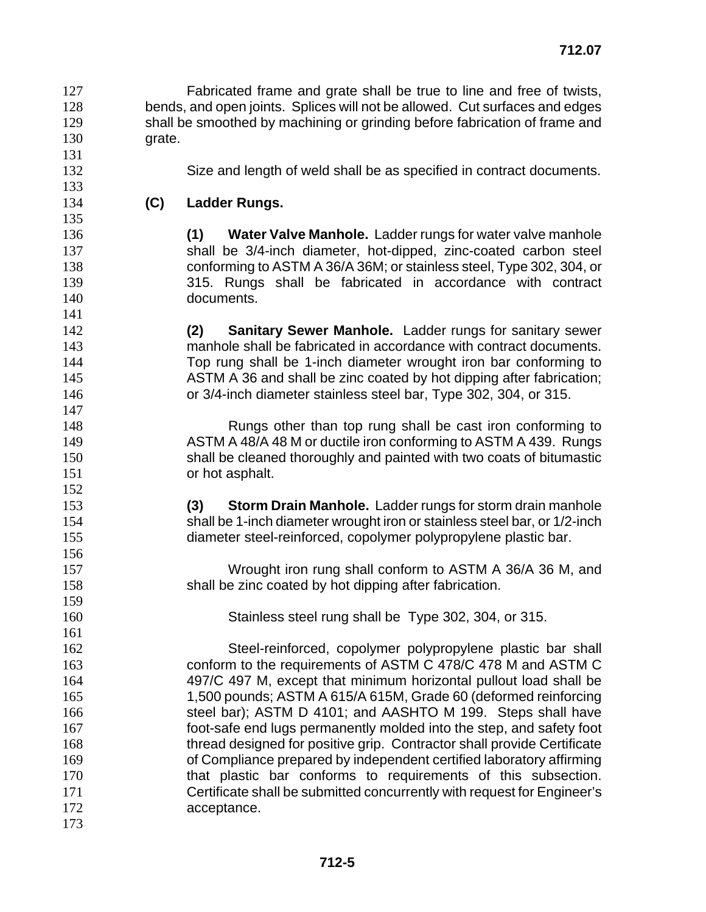Fabricated frame and grate shall be true to line and free of twists, bends, and open joints. Splices will not be allowed. Cut surfaces and edges shall be smoothed by machining or grinding before fabrication of frame and grate.

- Size and length of weld shall be as specified in contract documents.
- **(C) Ladder Rungs.**

- **(1) Water Valve Manhole.** Ladder rungs for water valve manhole shall be 3/4-inch diameter, hot-dipped, zinc-coated carbon steel conforming to ASTM A 36/A 36M; or stainless steel, Type 302, 304, or 315. Rungs shall be fabricated in accordance with contract documents.
- **(2) Sanitary Sewer Manhole.** Ladder rungs for sanitary sewer manhole shall be fabricated in accordance with contract documents. Top rung shall be 1-inch diameter wrought iron bar conforming to 145 ASTM A 36 and shall be zinc coated by hot dipping after fabrication; or 3/4-inch diameter stainless steel bar, Type 302, 304, or 315.
- Rungs other than top rung shall be cast iron conforming to ASTM A 48/A 48 M or ductile iron conforming to ASTM A 439. Rungs shall be cleaned thoroughly and painted with two coats of bitumastic or hot asphalt.
- **(3) Storm Drain Manhole.** Ladder rungs for storm drain manhole shall be 1-inch diameter wrought iron or stainless steel bar, or 1/2-inch diameter steel-reinforced, copolymer polypropylene plastic bar.
- Wrought iron rung shall conform to ASTM A 36/A 36 M, and shall be zinc coated by hot dipping after fabrication.
- Stainless steel rung shall be Type 302, 304, or 315.
- Steel-reinforced, copolymer polypropylene plastic bar shall conform to the requirements of ASTM C 478/C 478 M and ASTM C 497/C 497 M, except that minimum horizontal pullout load shall be 1,500 pounds; ASTM A 615/A 615M, Grade 60 (deformed reinforcing steel bar); ASTM D 4101; and AASHTO M 199. Steps shall have foot-safe end lugs permanently molded into the step, and safety foot thread designed for positive grip. Contractor shall provide Certificate of Compliance prepared by independent certified laboratory affirming that plastic bar conforms to requirements of this subsection. Certificate shall be submitted concurrently with request for Engineer's 172 acceptance.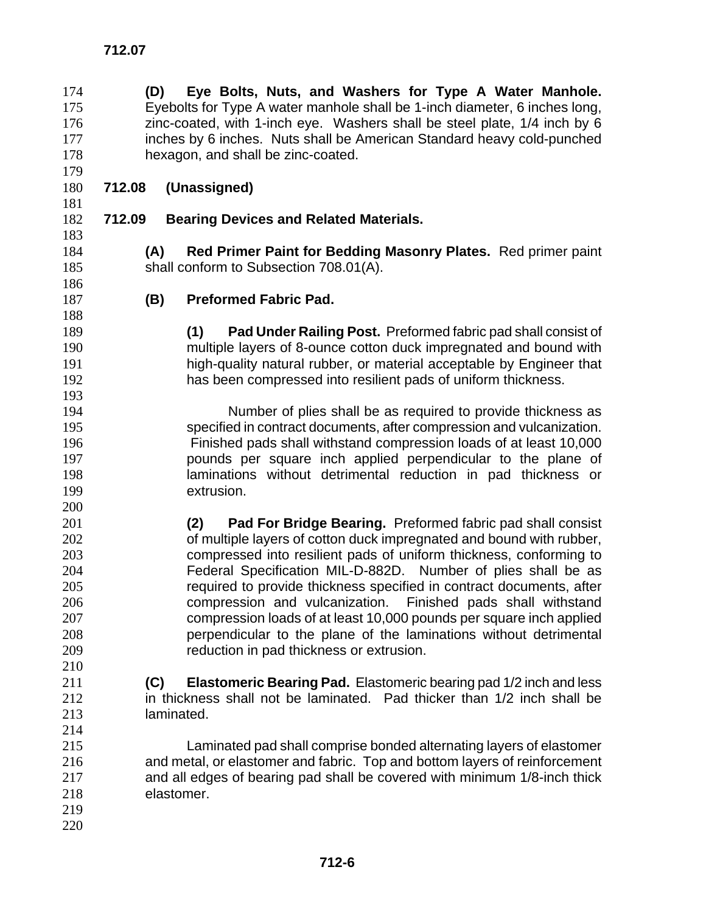**(D) Eye Bolts, Nuts, and Washers for Type A Water Manhole.**  Eyebolts for Type A water manhole shall be 1-inch diameter, 6 inches long, zinc-coated, with 1-inch eye. Washers shall be steel plate, 1/4 inch by 6 177 inches by 6 inches. Nuts shall be American Standard heavy cold-punched hexagon, and shall be zinc-coated. **712.07 712.08 (Unassigned) 712.09 Bearing Devices and Related Materials. (A) Red Primer Paint for Bedding Masonry Plates.** Red primer paint shall conform to Subsection 708.01(A). **(B) Preformed Fabric Pad. (1) Pad Under Railing Post.** Preformed fabric pad shall consist of multiple layers of 8-ounce cotton duck impregnated and bound with high-quality natural rubber, or material acceptable by Engineer that has been compressed into resilient pads of uniform thickness. Number of plies shall be as required to provide thickness as specified in contract documents, after compression and vulcanization. Finished pads shall withstand compression loads of at least 10,000 pounds per square inch applied perpendicular to the plane of laminations without detrimental reduction in pad thickness or extrusion. **(2) Pad For Bridge Bearing.** Preformed fabric pad shall consist of multiple layers of cotton duck impregnated and bound with rubber, compressed into resilient pads of uniform thickness, conforming to Federal Specification MIL-D-882D. Number of plies shall be as required to provide thickness specified in contract documents, after compression and vulcanization. Finished pads shall withstand compression loads of at least 10,000 pounds per square inch applied perpendicular to the plane of the laminations without detrimental reduction in pad thickness or extrusion. **(C) Elastomeric Bearing Pad.** Elastomeric bearing pad 1/2 inch and less in thickness shall not be laminated. Pad thicker than 1/2 inch shall be laminated. Laminated pad shall comprise bonded alternating layers of elastomer and metal, or elastomer and fabric. Top and bottom layers of reinforcement and all edges of bearing pad shall be covered with minimum 1/8-inch thick elastomer.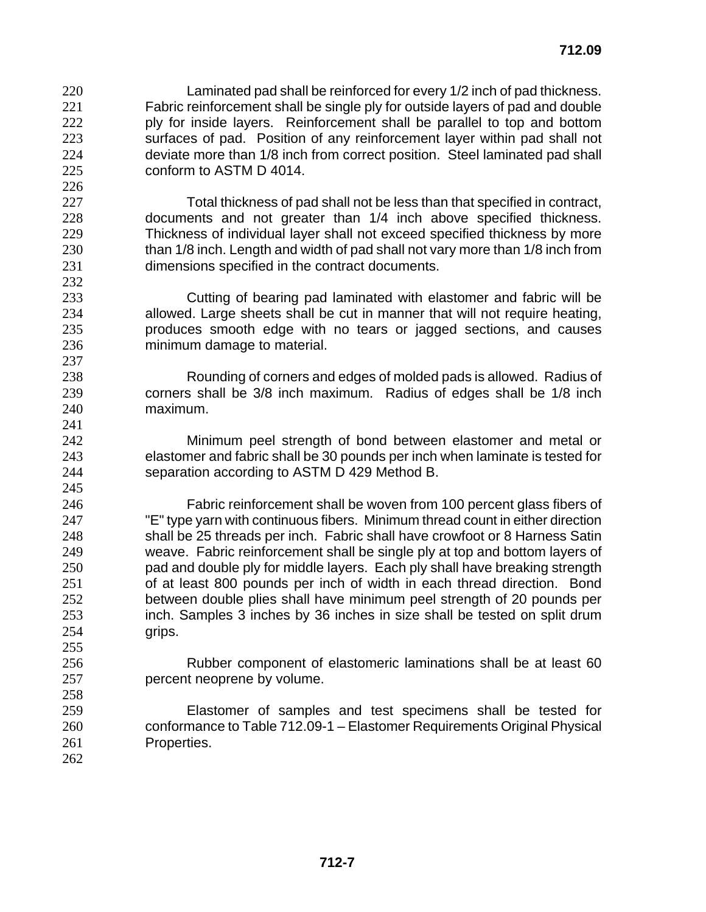Laminated pad shall be reinforced for every 1/2 inch of pad thickness. Fabric reinforcement shall be single ply for outside layers of pad and double 222 ply for inside layers. Reinforcement shall be parallel to top and bottom surfaces of pad. Position of any reinforcement layer within pad shall not deviate more than 1/8 inch from correct position. Steel laminated pad shall conform to ASTM D 4014. 

Total thickness of pad shall not be less than that specified in contract, documents and not greater than 1/4 inch above specified thickness. Thickness of individual layer shall not exceed specified thickness by more 230 than 1/8 inch. Length and width of pad shall not vary more than 1/8 inch from dimensions specified in the contract documents.

Cutting of bearing pad laminated with elastomer and fabric will be allowed. Large sheets shall be cut in manner that will not require heating, produces smooth edge with no tears or jagged sections, and causes minimum damage to material.

Rounding of corners and edges of molded pads is allowed. Radius of corners shall be 3/8 inch maximum. Radius of edges shall be 1/8 inch maximum.

Minimum peel strength of bond between elastomer and metal or elastomer and fabric shall be 30 pounds per inch when laminate is tested for separation according to ASTM D 429 Method B.

Fabric reinforcement shall be woven from 100 percent glass fibers of "E" type yarn with continuous fibers. Minimum thread count in either direction shall be 25 threads per inch. Fabric shall have crowfoot or 8 Harness Satin weave. Fabric reinforcement shall be single ply at top and bottom layers of pad and double ply for middle layers. Each ply shall have breaking strength of at least 800 pounds per inch of width in each thread direction. Bond between double plies shall have minimum peel strength of 20 pounds per inch. Samples 3 inches by 36 inches in size shall be tested on split drum grips.

Rubber component of elastomeric laminations shall be at least 60 percent neoprene by volume.

Elastomer of samples and test specimens shall be tested for conformance to Table 712.09-1 – Elastomer Requirements Original Physical Properties.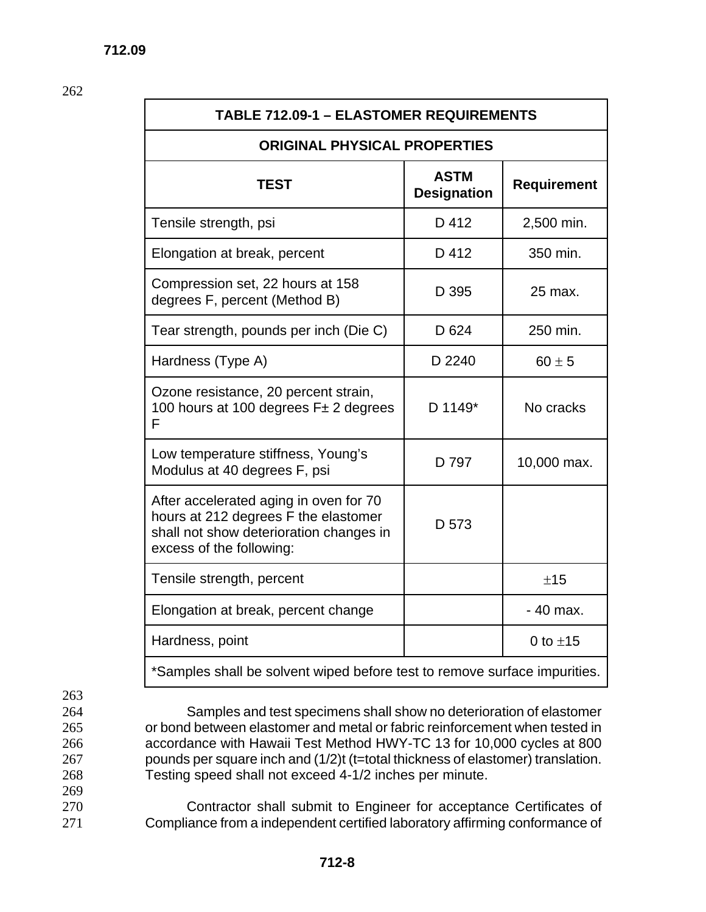262

| <b>TABLE 712.09-1 - ELASTOMER REQUIREMENTS</b>                                                                                                        |                                   |                    |
|-------------------------------------------------------------------------------------------------------------------------------------------------------|-----------------------------------|--------------------|
| <b>ORIGINAL PHYSICAL PROPERTIES</b>                                                                                                                   |                                   |                    |
| <b>TEST</b>                                                                                                                                           | <b>ASTM</b><br><b>Designation</b> | <b>Requirement</b> |
| Tensile strength, psi                                                                                                                                 | D 412                             | 2,500 min.         |
| Elongation at break, percent                                                                                                                          | D 412                             | 350 min.           |
| Compression set, 22 hours at 158<br>degrees F, percent (Method B)                                                                                     | D 395                             | 25 max.            |
| Tear strength, pounds per inch (Die C)                                                                                                                | D 624                             | 250 min.           |
| Hardness (Type A)                                                                                                                                     | D 2240                            | $60 \pm 5$         |
| Ozone resistance, 20 percent strain,<br>100 hours at 100 degrees F± 2 degrees<br>F                                                                    | D 1149*                           | No cracks          |
| Low temperature stiffness, Young's<br>Modulus at 40 degrees F, psi                                                                                    | D 797                             | 10,000 max.        |
| After accelerated aging in oven for 70<br>hours at 212 degrees F the elastomer<br>shall not show deterioration changes in<br>excess of the following: | D 573                             |                    |
| Tensile strength, percent                                                                                                                             |                                   | ±15                |
| Elongation at break, percent change                                                                                                                   |                                   | - 40 max.          |
| Hardness, point                                                                                                                                       |                                   | 0 to $\pm$ 15      |
| *Samples shall be solvent wiped before test to remove surface impurities.                                                                             |                                   |                    |

- 263
- 264 Samples and test specimens shall show no deterioration of elastomer 265 or bond between elastomer and metal or fabric reinforcement when tested in
- 266 accordance with Hawaii Test Method HWY-TC 13 for 10,000 cycles at 800
- 267 pounds per square inch and (1/2)t (t=total thickness of elastomer) translation.
- 268 Testing speed shall not exceed 4-1/2 inches per minute.
- 269

270 Contractor shall submit to Engineer for acceptance Certificates of 271 Compliance from a independent certified laboratory affirming conformance of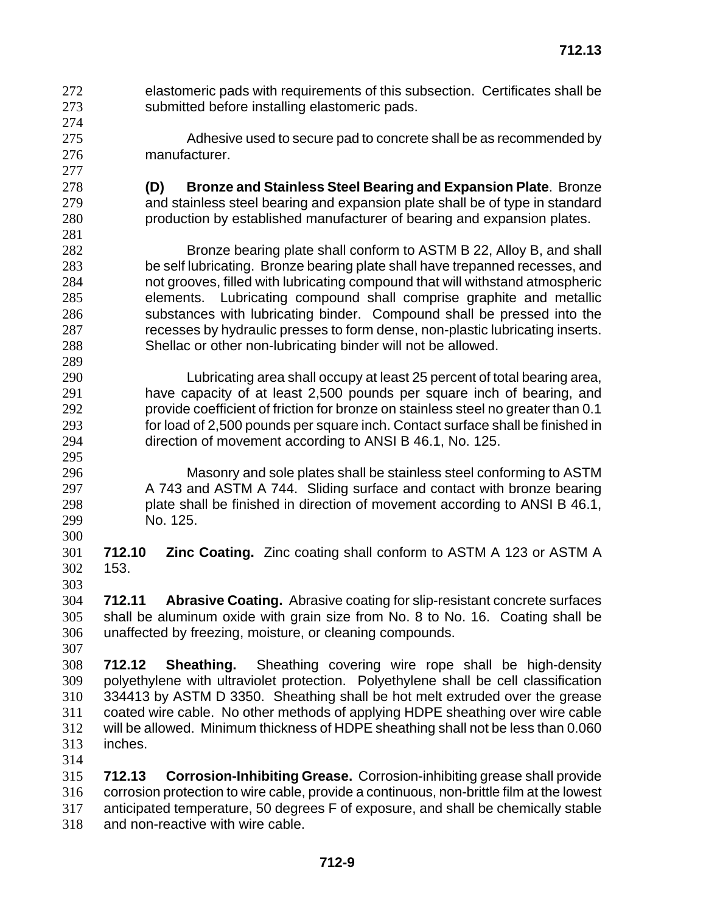- elastomeric pads with requirements of this subsection. Certificates shall be submitted before installing elastomeric pads.
- Adhesive used to secure pad to concrete shall be as recommended by manufacturer.
- **(D) Bronze and Stainless Steel Bearing and Expansion Plate**. Bronze and stainless steel bearing and expansion plate shall be of type in standard production by established manufacturer of bearing and expansion plates.
- Bronze bearing plate shall conform to ASTM B 22, Alloy B, and shall be self lubricating. Bronze bearing plate shall have trepanned recesses, and not grooves, filled with lubricating compound that will withstand atmospheric elements. Lubricating compound shall comprise graphite and metallic substances with lubricating binder. Compound shall be pressed into the recesses by hydraulic presses to form dense, non-plastic lubricating inserts. Shellac or other non-lubricating binder will not be allowed.
- Lubricating area shall occupy at least 25 percent of total bearing area, have capacity of at least 2,500 pounds per square inch of bearing, and provide coefficient of friction for bronze on stainless steel no greater than 0.1 for load of 2,500 pounds per square inch. Contact surface shall be finished in direction of movement according to ANSI B 46.1, No. 125.
- Masonry and sole plates shall be stainless steel conforming to ASTM 297 A 743 and ASTM A 744. Sliding surface and contact with bronze bearing plate shall be finished in direction of movement according to ANSI B 46.1, No. 125.
- **712.10 Zinc Coating.** Zinc coating shall conform to ASTM A 123 or ASTM A 153.
- **712.11 Abrasive Coating.** Abrasive coating for slip-resistant concrete surfaces shall be aluminum oxide with grain size from No. 8 to No. 16. Coating shall be unaffected by freezing, moisture, or cleaning compounds.
- 

- **712.12 Sheathing.** Sheathing covering wire rope shall be high-density polyethylene with ultraviolet protection. Polyethylene shall be cell classification 334413 by ASTM D 3350. Sheathing shall be hot melt extruded over the grease coated wire cable. No other methods of applying HDPE sheathing over wire cable will be allowed. Minimum thickness of HDPE sheathing shall not be less than 0.060 inches.
- 

**712.13 Corrosion-Inhibiting Grease.** Corrosion-inhibiting grease shall provide corrosion protection to wire cable, provide a continuous, non-brittle film at the lowest anticipated temperature, 50 degrees F of exposure, and shall be chemically stable and non-reactive with wire cable.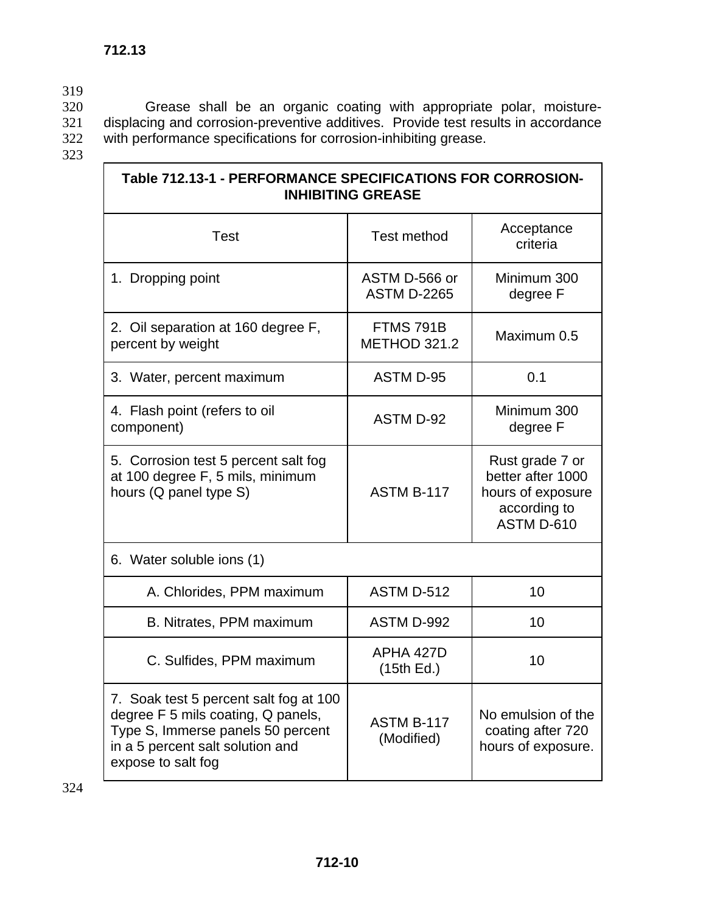319<br>320

320 Grease shall be an organic coating with appropriate polar, moisture-

321 displacing and corrosion-preventive additives. Provide test results in accordance 322 with performance specifications for corrosion-inhibiting grease.

| ۰.<br>۰.<br>۰.<br>×<br>× |
|--------------------------|
|--------------------------|

| Table 712.13-1 - PERFORMANCE SPECIFICATIONS FOR CORROSION-<br><b>INHIBITING GREASE</b>                                                                                      |                                     |                                                                                         |
|-----------------------------------------------------------------------------------------------------------------------------------------------------------------------------|-------------------------------------|-----------------------------------------------------------------------------------------|
| <b>Test</b>                                                                                                                                                                 | <b>Test method</b>                  | Acceptance<br>criteria                                                                  |
| 1. Dropping point                                                                                                                                                           | ASTM D-566 or<br><b>ASTM D-2265</b> | Minimum 300<br>degree F                                                                 |
| 2. Oil separation at 160 degree F,<br>percent by weight                                                                                                                     | FTMS 791B<br><b>METHOD 321.2</b>    | Maximum 0.5                                                                             |
| 3. Water, percent maximum                                                                                                                                                   | <b>ASTM D-95</b>                    | 0.1                                                                                     |
| 4. Flash point (refers to oil<br>component)                                                                                                                                 | ASTM D-92                           | Minimum 300<br>degree F                                                                 |
| 5. Corrosion test 5 percent salt fog<br>at 100 degree F, 5 mils, minimum<br>hours (Q panel type S)                                                                          | ASTM B-117                          | Rust grade 7 or<br>better after 1000<br>hours of exposure<br>according to<br>ASTM D-610 |
| 6. Water soluble ions (1)                                                                                                                                                   |                                     |                                                                                         |
| A. Chlorides, PPM maximum                                                                                                                                                   | ASTM D-512                          | 10                                                                                      |
| B. Nitrates, PPM maximum                                                                                                                                                    | ASTM D-992                          | 10                                                                                      |
| C. Sulfides, PPM maximum                                                                                                                                                    | APHA 427D<br>(15th Ed.)             | 10                                                                                      |
| 7. Soak test 5 percent salt fog at 100<br>degree F 5 mils coating, Q panels,<br>Type S, Immerse panels 50 percent<br>in a 5 percent salt solution and<br>expose to salt fog | ASTM B-117<br>(Modified)            | No emulsion of the<br>coating after 720<br>hours of exposure.                           |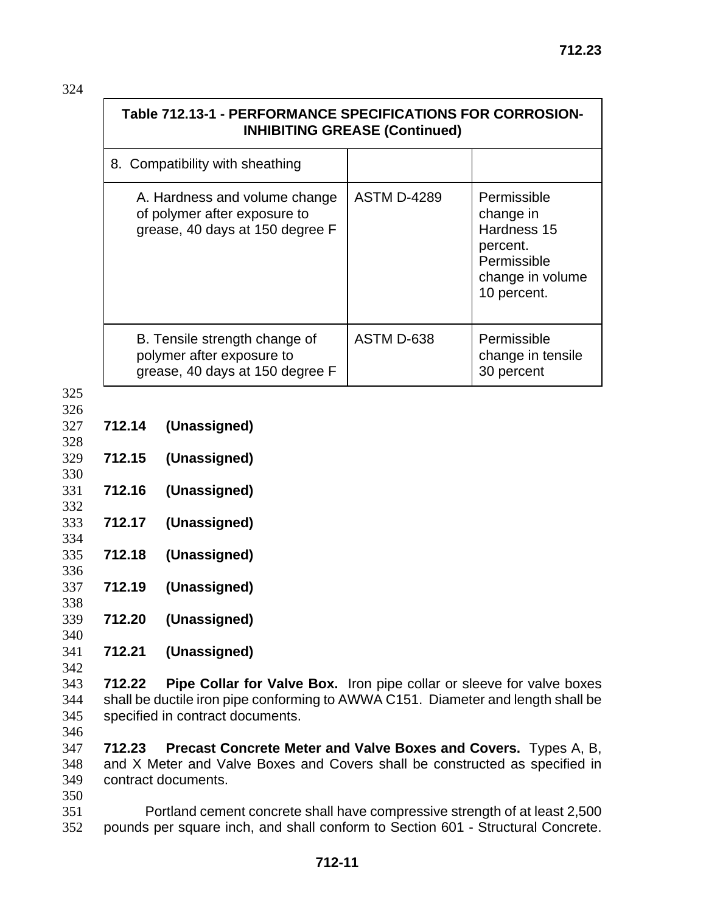| Table 712.13-1 - PERFORMANCE SPECIFICATIONS FOR CORROSION-<br><b>INHIBITING GREASE (Continued)</b> |                    |                                                                                                       |
|----------------------------------------------------------------------------------------------------|--------------------|-------------------------------------------------------------------------------------------------------|
| 8. Compatibility with sheathing                                                                    |                    |                                                                                                       |
| A. Hardness and volume change<br>of polymer after exposure to<br>grease, 40 days at 150 degree F   | <b>ASTM D-4289</b> | Permissible<br>change in<br>Hardness 15<br>percent.<br>Permissible<br>change in volume<br>10 percent. |
| B. Tensile strength change of<br>polymer after exposure to<br>grease, 40 days at 150 degree F      | ASTM D-638         | Permissible<br>change in tensile<br>30 percent                                                        |

325

332

334

- 326 327 **712.14 (Unassigned)**
- 328 329 **712.15 (Unassigned)**
- 330 331 **712.16 (Unassigned)**
- 333 **712.17 (Unassigned)**
- 335 **712.18 (Unassigned)** 336
- 337 **712.19 (Unassigned)**
- 338 339 **712.20 (Unassigned)**
- 340 341 **712.21 (Unassigned)**
- 342

343 **712.22 Pipe Collar for Valve Box.** Iron pipe collar or sleeve for valve boxes 344 shall be ductile iron pipe conforming to AWWA C151. Diameter and length shall be 345 specified in contract documents.

346

347 **712.23 Precast Concrete Meter and Valve Boxes and Covers.** Types A, B, 348 and X Meter and Valve Boxes and Covers shall be constructed as specified in 349 contract documents.

350

351 Portland cement concrete shall have compressive strength of at least 2,500 352 pounds per square inch, and shall conform to Section 601 - Structural Concrete.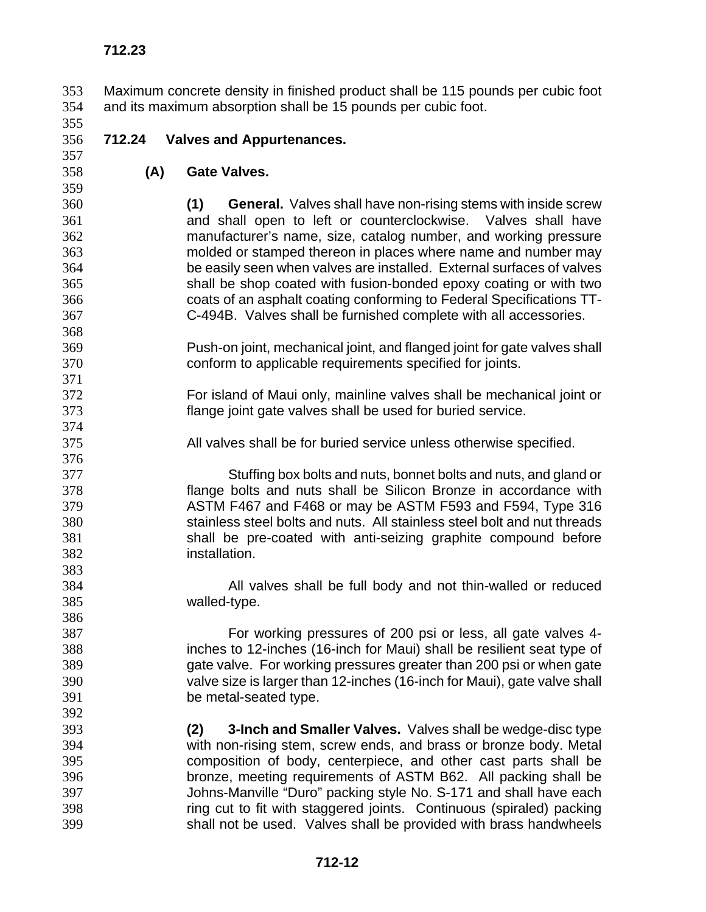Maximum concrete density in finished product shall be 115 pounds per cubic foot and its maximum absorption shall be 15 pounds per cubic foot.

**712.23** 

## **712.24 Valves and Appurtenances.**

- **(A) Gate Valves.**
- 

**(1) General.** Valves shall have non-rising stems with inside screw and shall open to left or counterclockwise. Valves shall have manufacturer's name, size, catalog number, and working pressure molded or stamped thereon in places where name and number may be easily seen when valves are installed. External surfaces of valves shall be shop coated with fusion-bonded epoxy coating or with two coats of an asphalt coating conforming to Federal Specifications TT-C-494B. Valves shall be furnished complete with all accessories.

- Push-on joint, mechanical joint, and flanged joint for gate valves shall conform to applicable requirements specified for joints.
- For island of Maui only, mainline valves shall be mechanical joint or flange joint gate valves shall be used for buried service.
- All valves shall be for buried service unless otherwise specified.

Stuffing box bolts and nuts, bonnet bolts and nuts, and gland or flange bolts and nuts shall be Silicon Bronze in accordance with ASTM F467 and F468 or may be ASTM F593 and F594, Type 316 stainless steel bolts and nuts. All stainless steel bolt and nut threads shall be pre-coated with anti-seizing graphite compound before installation. 

All valves shall be full body and not thin-walled or reduced walled-type.

For working pressures of 200 psi or less, all gate valves 4- inches to 12-inches (16-inch for Maui) shall be resilient seat type of gate valve. For working pressures greater than 200 psi or when gate valve size is larger than 12-inches (16-inch for Maui), gate valve shall be metal-seated type.

**(2) 3-Inch and Smaller Valves.** Valves shall be wedge-disc type with non-rising stem, screw ends, and brass or bronze body. Metal composition of body, centerpiece, and other cast parts shall be bronze, meeting requirements of ASTM B62. All packing shall be Johns-Manville "Duro" packing style No. S-171 and shall have each ring cut to fit with staggered joints. Continuous (spiraled) packing shall not be used. Valves shall be provided with brass handwheels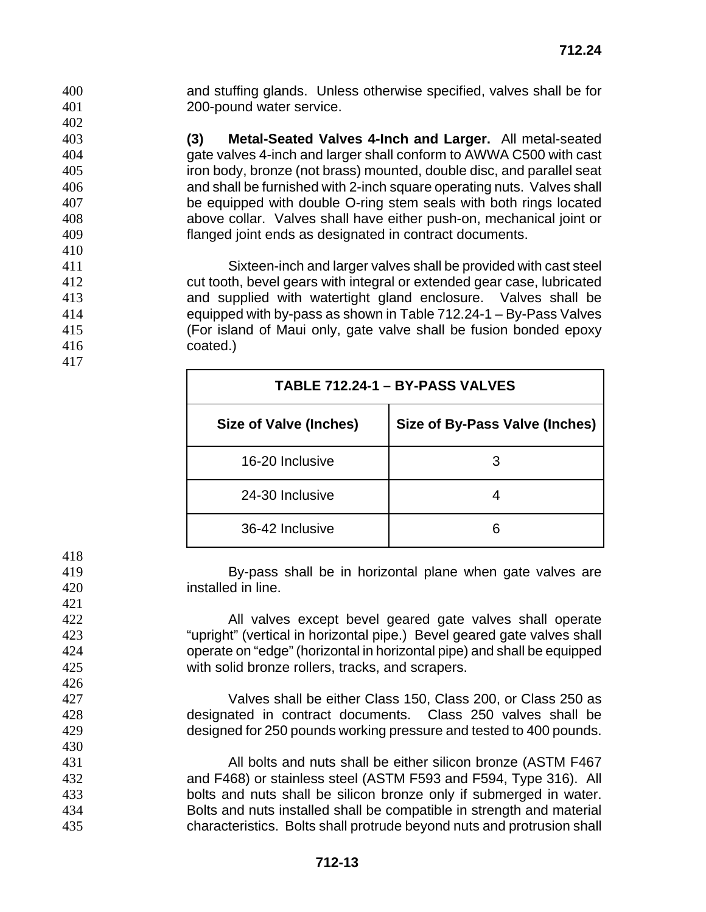and stuffing glands. Unless otherwise specified, valves shall be for 200-pound water service.

**(3) Metal-Seated Valves 4-Inch and Larger.** All metal-seated gate valves 4-inch and larger shall conform to AWWA C500 with cast iron body, bronze (not brass) mounted, double disc, and parallel seat and shall be furnished with 2-inch square operating nuts. Valves shall be equipped with double O-ring stem seals with both rings located above collar. Valves shall have either push-on, mechanical joint or flanged joint ends as designated in contract documents.

Sixteen-inch and larger valves shall be provided with cast steel cut tooth, bevel gears with integral or extended gear case, lubricated and supplied with watertight gland enclosure. Valves shall be equipped with by-pass as shown in Table 712.24-1 – By-Pass Valves (For island of Maui only, gate valve shall be fusion bonded epoxy coated.)

| TABLE 712.24-1 - BY-PASS VALVES |                                |  |
|---------------------------------|--------------------------------|--|
| Size of Valve (Inches)          | Size of By-Pass Valve (Inches) |  |
| 16-20 Inclusive                 | З                              |  |
| 24-30 Inclusive                 |                                |  |
| 36-42 Inclusive                 |                                |  |

By-pass shall be in horizontal plane when gate valves are installed in line.

All valves except bevel geared gate valves shall operate "upright" (vertical in horizontal pipe.) Bevel geared gate valves shall operate on "edge" (horizontal in horizontal pipe) and shall be equipped with solid bronze rollers, tracks, and scrapers.

Valves shall be either Class 150, Class 200, or Class 250 as designated in contract documents. Class 250 valves shall be designed for 250 pounds working pressure and tested to 400 pounds.

All bolts and nuts shall be either silicon bronze (ASTM F467 and F468) or stainless steel (ASTM F593 and F594, Type 316). All bolts and nuts shall be silicon bronze only if submerged in water. Bolts and nuts installed shall be compatible in strength and material characteristics. Bolts shall protrude beyond nuts and protrusion shall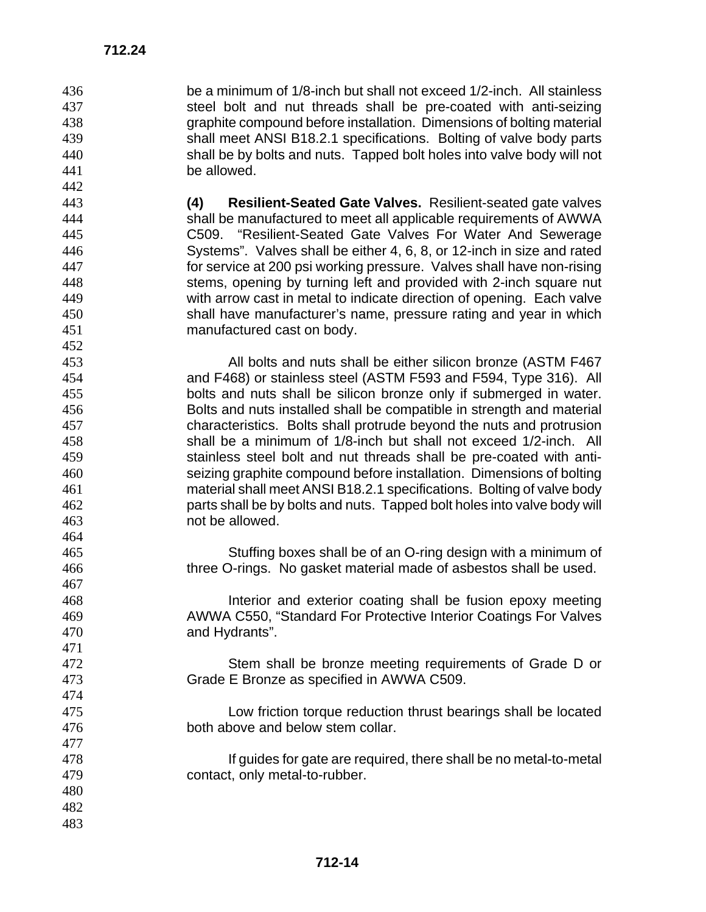**712.24** 

 

be a minimum of 1/8-inch but shall not exceed 1/2-inch. All stainless steel bolt and nut threads shall be pre-coated with anti-seizing graphite compound before installation. Dimensions of bolting material 439 shall meet ANSI B18.2.1 specifications. Bolting of valve body parts<br>440 shall be by bolts and nuts. Tapped bolt holes into valve body will not shall be by bolts and nuts. Tapped bolt holes into valve body will not be allowed.

**(4) Resilient-Seated Gate Valves.** Resilient-seated gate valves shall be manufactured to meet all applicable requirements of AWWA C509. "Resilient-Seated Gate Valves For Water And Sewerage Systems". Valves shall be either 4, 6, 8, or 12-inch in size and rated for service at 200 psi working pressure. Valves shall have non-rising stems, opening by turning left and provided with 2-inch square nut with arrow cast in metal to indicate direction of opening. Each valve shall have manufacturer's name, pressure rating and year in which manufactured cast on body.

All bolts and nuts shall be either silicon bronze (ASTM F467 and F468) or stainless steel (ASTM F593 and F594, Type 316). All bolts and nuts shall be silicon bronze only if submerged in water. Bolts and nuts installed shall be compatible in strength and material characteristics. Bolts shall protrude beyond the nuts and protrusion shall be a minimum of 1/8-inch but shall not exceed 1/2-inch. All stainless steel bolt and nut threads shall be pre-coated with anti-seizing graphite compound before installation. Dimensions of bolting material shall meet ANSI B18.2.1 specifications. Bolting of valve body parts shall be by bolts and nuts. Tapped bolt holes into valve body will not be allowed. 

Stuffing boxes shall be of an O-ring design with a minimum of three O-rings. No gasket material made of asbestos shall be used.

Interior and exterior coating shall be fusion epoxy meeting AWWA C550, "Standard For Protective Interior Coatings For Valves and Hydrants".

Stem shall be bronze meeting requirements of Grade D or Grade E Bronze as specified in AWWA C509.

Low friction torque reduction thrust bearings shall be located both above and below stem collar.

If guides for gate are required, there shall be no metal-to-metal contact, only metal-to-rubber.

 **712-14**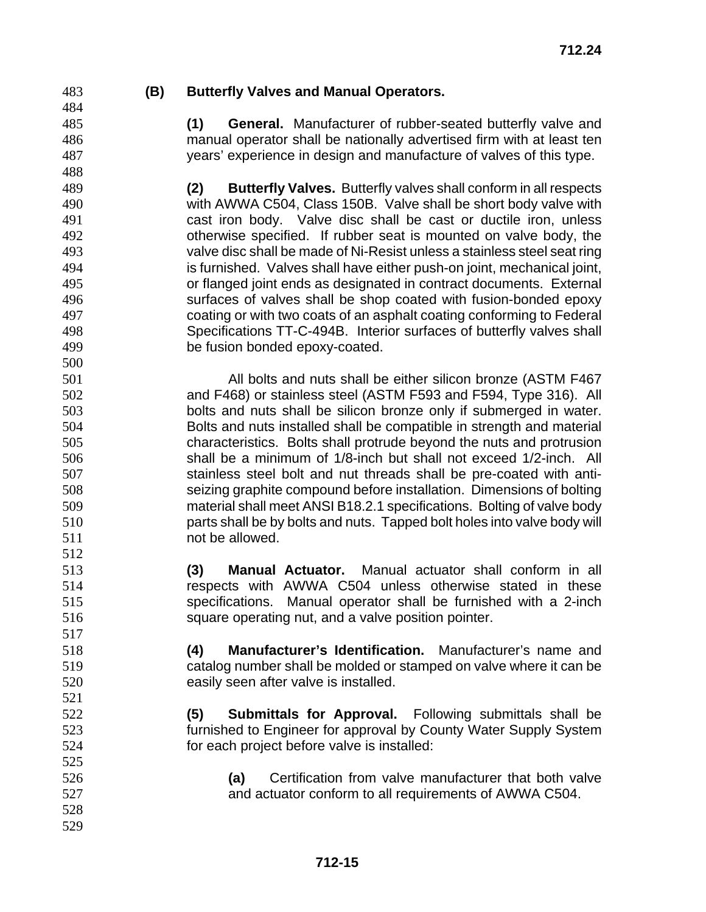**712.24** 

 

**(B) Butterfly Valves and Manual Operators.** 

**(1) General.** Manufacturer of rubber-seated butterfly valve and manual operator shall be nationally advertised firm with at least ten years' experience in design and manufacture of valves of this type.

**(2) Butterfly Valves.** Butterfly valves shall conform in all respects with AWWA C504, Class 150B. Valve shall be short body valve with cast iron body. Valve disc shall be cast or ductile iron, unless otherwise specified. If rubber seat is mounted on valve body, the valve disc shall be made of Ni-Resist unless a stainless steel seat ring is furnished. Valves shall have either push-on joint, mechanical joint, or flanged joint ends as designated in contract documents. External surfaces of valves shall be shop coated with fusion-bonded epoxy coating or with two coats of an asphalt coating conforming to Federal Specifications TT-C-494B. Interior surfaces of butterfly valves shall be fusion bonded epoxy-coated.

All bolts and nuts shall be either silicon bronze (ASTM F467 and F468) or stainless steel (ASTM F593 and F594, Type 316). All bolts and nuts shall be silicon bronze only if submerged in water. Bolts and nuts installed shall be compatible in strength and material characteristics. Bolts shall protrude beyond the nuts and protrusion shall be a minimum of 1/8-inch but shall not exceed 1/2-inch. All stainless steel bolt and nut threads shall be pre-coated with anti-seizing graphite compound before installation. Dimensions of bolting material shall meet ANSI B18.2.1 specifications. Bolting of valve body parts shall be by bolts and nuts. Tapped bolt holes into valve body will not be allowed. 

**(3) Manual Actuator.** Manual actuator shall conform in all respects with AWWA C504 unless otherwise stated in these specifications. Manual operator shall be furnished with a 2-inch square operating nut, and a valve position pointer.

**(4) Manufacturer's Identification.** Manufacturer's name and catalog number shall be molded or stamped on valve where it can be easily seen after valve is installed.

**(5) Submittals for Approval.** Following submittals shall be furnished to Engineer for approval by County Water Supply System for each project before valve is installed:

- **(a)** Certification from valve manufacturer that both valve and actuator conform to all requirements of AWWA C504.
	- **712-15**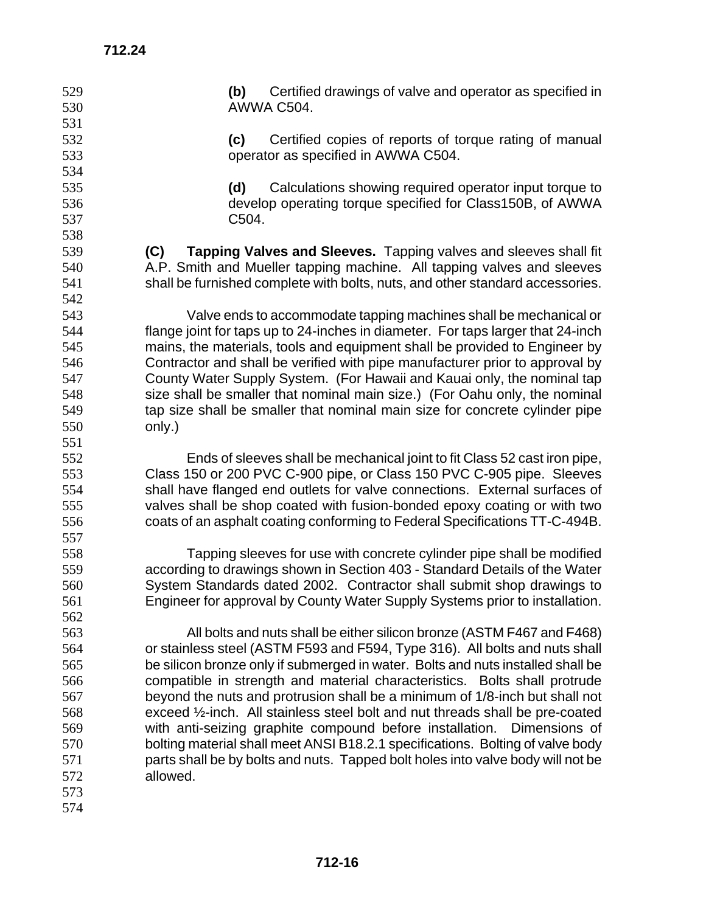| 529 | Certified drawings of valve and operator as specified in<br>(b)                 |
|-----|---------------------------------------------------------------------------------|
| 530 | AWWA C504.                                                                      |
| 531 |                                                                                 |
| 532 | Certified copies of reports of torque rating of manual<br>(c)                   |
| 533 | operator as specified in AWWA C504.                                             |
| 534 |                                                                                 |
| 535 | Calculations showing required operator input torque to<br>(d)                   |
| 536 | develop operating torque specified for Class150B, of AWWA                       |
| 537 | C504.                                                                           |
| 538 |                                                                                 |
| 539 | Tapping Valves and Sleeves. Tapping valves and sleeves shall fit<br>(C)         |
| 540 | A.P. Smith and Mueller tapping machine. All tapping valves and sleeves          |
| 541 | shall be furnished complete with bolts, nuts, and other standard accessories.   |
| 542 |                                                                                 |
| 543 | Valve ends to accommodate tapping machines shall be mechanical or               |
| 544 | flange joint for taps up to 24-inches in diameter. For taps larger that 24-inch |
| 545 | mains, the materials, tools and equipment shall be provided to Engineer by      |
| 546 | Contractor and shall be verified with pipe manufacturer prior to approval by    |
| 547 | County Water Supply System. (For Hawaii and Kauai only, the nominal tap         |
| 548 | size shall be smaller that nominal main size.) (For Oahu only, the nominal      |
| 549 | tap size shall be smaller that nominal main size for concrete cylinder pipe     |
| 550 | only.)                                                                          |
| 551 |                                                                                 |
| 552 | Ends of sleeves shall be mechanical joint to fit Class 52 cast iron pipe,       |
| 553 | Class 150 or 200 PVC C-900 pipe, or Class 150 PVC C-905 pipe. Sleeves           |
| 554 | shall have flanged end outlets for valve connections. External surfaces of      |
| 555 | valves shall be shop coated with fusion-bonded epoxy coating or with two        |
| 556 | coats of an asphalt coating conforming to Federal Specifications TT-C-494B.     |
| 557 |                                                                                 |
| 558 | Tapping sleeves for use with concrete cylinder pipe shall be modified           |
| 559 | according to drawings shown in Section 403 - Standard Details of the Water      |
| 560 | System Standards dated 2002. Contractor shall submit shop drawings to           |
| 561 | Engineer for approval by County Water Supply Systems prior to installation.     |
| 562 |                                                                                 |
| 563 | All bolts and nuts shall be either silicon bronze (ASTM F467 and F468)          |
| 564 | or stainless steel (ASTM F593 and F594, Type 316). All bolts and nuts shall     |
| 565 | be silicon bronze only if submerged in water. Bolts and nuts installed shall be |
| 566 | compatible in strength and material characteristics. Bolts shall protrude       |
| 567 | beyond the nuts and protrusion shall be a minimum of 1/8-inch but shall not     |
| 568 | exceed 1/2-inch. All stainless steel bolt and nut threads shall be pre-coated   |
| 569 | with anti-seizing graphite compound before installation.<br>Dimensions of       |
| 570 | bolting material shall meet ANSI B18.2.1 specifications. Bolting of valve body  |
| 571 | parts shall be by bolts and nuts. Tapped bolt holes into valve body will not be |
| 572 | allowed.                                                                        |
| 573 |                                                                                 |
| 574 |                                                                                 |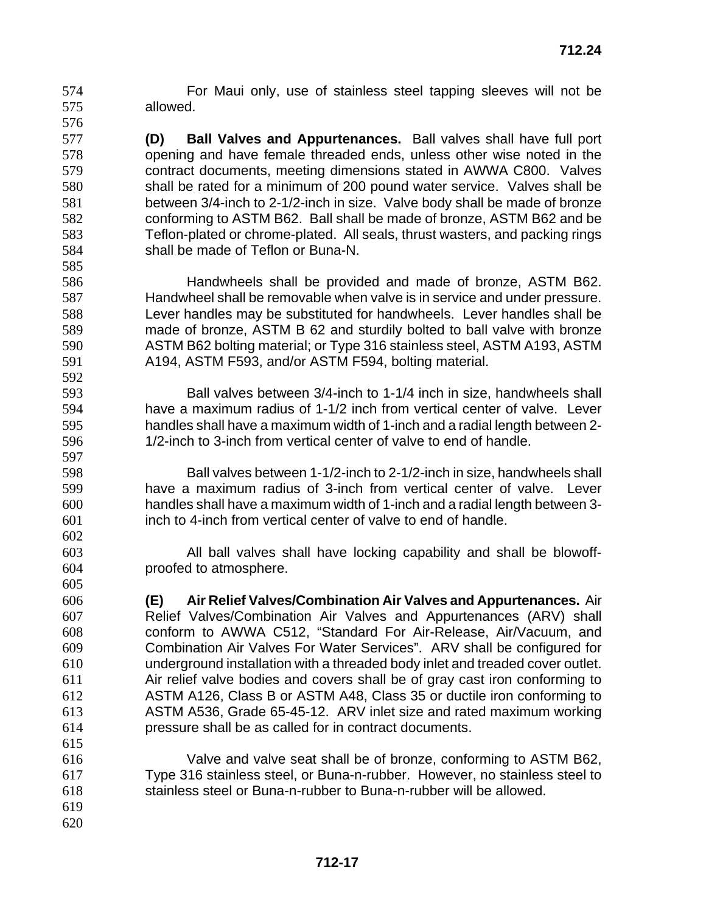For Maui only, use of stainless steel tapping sleeves will not be allowed. 

**(D) Ball Valves and Appurtenances.** Ball valves shall have full port opening and have female threaded ends, unless other wise noted in the contract documents, meeting dimensions stated in AWWA C800. Valves shall be rated for a minimum of 200 pound water service. Valves shall be between 3/4-inch to 2-1/2-inch in size. Valve body shall be made of bronze conforming to ASTM B62. Ball shall be made of bronze, ASTM B62 and be Teflon-plated or chrome-plated. All seals, thrust wasters, and packing rings shall be made of Teflon or Buna-N. 

Handwheels shall be provided and made of bronze, ASTM B62. Handwheel shall be removable when valve is in service and under pressure. Lever handles may be substituted for handwheels. Lever handles shall be made of bronze, ASTM B 62 and sturdily bolted to ball valve with bronze ASTM B62 bolting material; or Type 316 stainless steel, ASTM A193, ASTM A194, ASTM F593, and/or ASTM F594, bolting material.

Ball valves between 3/4-inch to 1-1/4 inch in size, handwheels shall have a maximum radius of 1-1/2 inch from vertical center of valve. Lever handles shall have a maximum width of 1-inch and a radial length between 2- 1/2-inch to 3-inch from vertical center of valve to end of handle.

Ball valves between 1-1/2-inch to 2-1/2-inch in size, handwheels shall have a maximum radius of 3-inch from vertical center of valve. Lever handles shall have a maximum width of 1-inch and a radial length between 3- inch to 4-inch from vertical center of valve to end of handle.

All ball valves shall have locking capability and shall be blowoff-proofed to atmosphere.

**(E) Air Relief Valves/Combination Air Valves and Appurtenances.** Air Relief Valves/Combination Air Valves and Appurtenances (ARV) shall conform to AWWA C512, "Standard For Air-Release, Air/Vacuum, and Combination Air Valves For Water Services". ARV shall be configured for underground installation with a threaded body inlet and treaded cover outlet. Air relief valve bodies and covers shall be of gray cast iron conforming to ASTM A126, Class B or ASTM A48, Class 35 or ductile iron conforming to ASTM A536, Grade 65-45-12. ARV inlet size and rated maximum working pressure shall be as called for in contract documents. 

Valve and valve seat shall be of bronze, conforming to ASTM B62, Type 316 stainless steel, or Buna-n-rubber. However, no stainless steel to stainless steel or Buna-n-rubber to Buna-n-rubber will be allowed.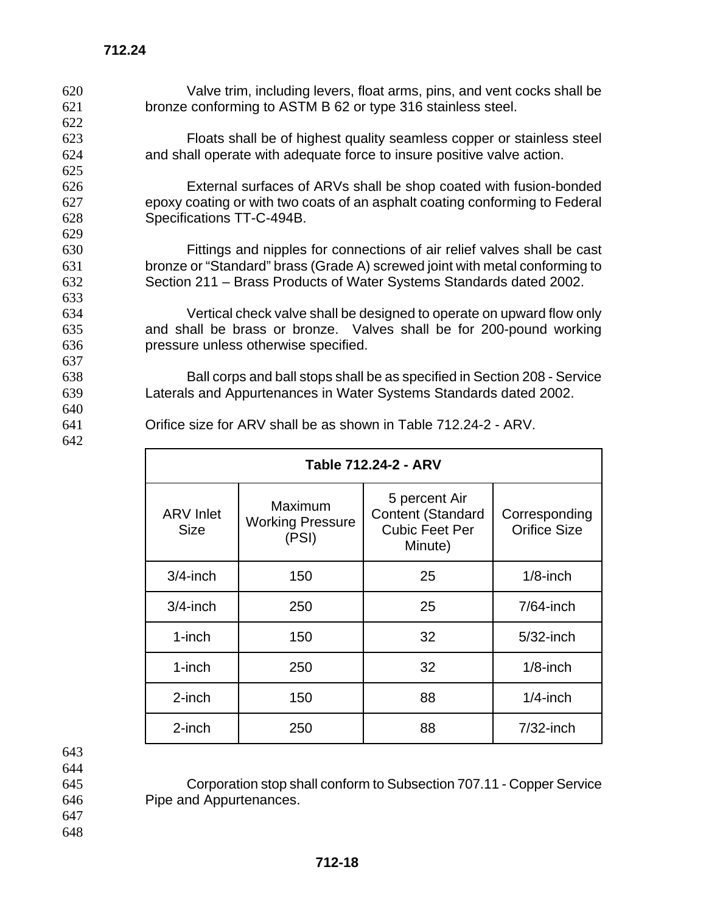Valve trim, including levers, float arms, pins, and vent cocks shall be bronze conforming to ASTM B 62 or type 316 stainless steel. 622 Floats shall be of highest quality seamless copper or stainless steel and shall operate with adequate force to insure positive valve action. 625 External surfaces of ARVs shall be shop coated with fusion-bonded epoxy coating or with two coats of an asphalt coating conforming to Federal Specifications TT-C-494B. 629 Fittings and nipples for connections of air relief valves shall be cast bronze or "Standard" brass (Grade A) screwed joint with metal conforming to Section 211 – Brass Products of Water Systems Standards dated 2002. 633 Vertical check valve shall be designed to operate on upward flow only and shall be brass or bronze. Valves shall be for 200-pound working pressure unless otherwise specified. 637 Ball corps and ball stops shall be as specified in Section 208 - Service Laterals and Appurtenances in Water Systems Standards dated 2002. 640 Orifice size for ARV shall be as shown in Table 712.24-2 - ARV. 642 Г

| Table 712.24-2 - ARV            |                                             |                                                                        |                                      |
|---------------------------------|---------------------------------------------|------------------------------------------------------------------------|--------------------------------------|
| <b>ARV</b> Inlet<br><b>Size</b> | Maximum<br><b>Working Pressure</b><br>(PSI) | 5 percent Air<br>Content (Standard<br><b>Cubic Feet Per</b><br>Minute) | Corresponding<br><b>Orifice Size</b> |
| $3/4$ -inch                     | 150                                         | 25                                                                     | $1/8$ -inch                          |
| $3/4$ -inch                     | 250                                         | 25                                                                     | $7/64$ -inch                         |
| $1$ -inch                       | 150                                         | 32                                                                     | $5/32$ -inch                         |
| $1$ -inch                       | 250                                         | 32                                                                     | $1/8$ -inch                          |
| 2-inch                          | 150                                         | 88                                                                     | $1/4$ -inch                          |
| 2-inch                          | 250                                         | 88                                                                     | $7/32$ -inch                         |

**Table 712.24-2 - ARV** 

643 644

645 Corporation stop shall conform to Subsection 707.11 - Copper Service 646 Pipe and Appurtenances.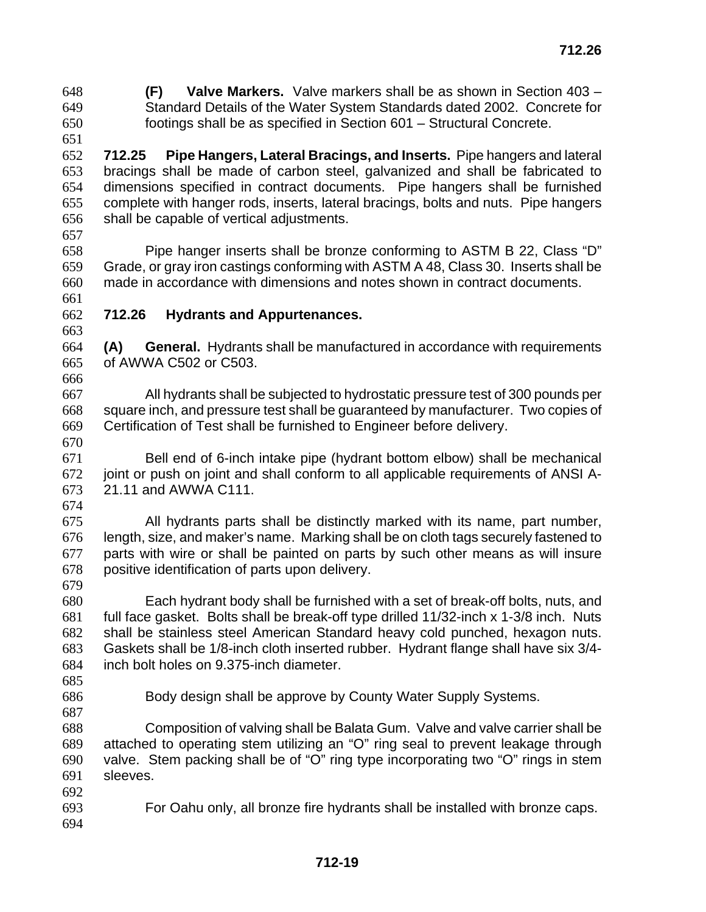**(F) Valve Markers.** Valve markers shall be as shown in Section 403 – Standard Details of the Water System Standards dated 2002. Concrete for footings shall be as specified in Section 601 – Structural Concrete.

**712.25 Pipe Hangers, Lateral Bracings, and Inserts.** Pipe hangers and lateral bracings shall be made of carbon steel, galvanized and shall be fabricated to dimensions specified in contract documents. Pipe hangers shall be furnished complete with hanger rods, inserts, lateral bracings, bolts and nuts. Pipe hangers shall be capable of vertical adjustments.

Pipe hanger inserts shall be bronze conforming to ASTM B 22, Class "D" Grade, or gray iron castings conforming with ASTM A 48, Class 30. Inserts shall be made in accordance with dimensions and notes shown in contract documents. 

**712.26 Hydrants and Appurtenances.**

**(A) General.** Hydrants shall be manufactured in accordance with requirements of AWWA C502 or C503.

All hydrants shall be subjected to hydrostatic pressure test of 300 pounds per square inch, and pressure test shall be guaranteed by manufacturer. Two copies of Certification of Test shall be furnished to Engineer before delivery.

Bell end of 6-inch intake pipe (hydrant bottom elbow) shall be mechanical joint or push on joint and shall conform to all applicable requirements of ANSI A-21.11 and AWWA C111.

All hydrants parts shall be distinctly marked with its name, part number, length, size, and maker's name. Marking shall be on cloth tags securely fastened to parts with wire or shall be painted on parts by such other means as will insure positive identification of parts upon delivery.

Each hydrant body shall be furnished with a set of break-off bolts, nuts, and full face gasket. Bolts shall be break-off type drilled 11/32-inch x 1-3/8 inch. Nuts shall be stainless steel American Standard heavy cold punched, hexagon nuts. Gaskets shall be 1/8-inch cloth inserted rubber. Hydrant flange shall have six 3/4- inch bolt holes on 9.375-inch diameter.

- 
- 

Body design shall be approve by County Water Supply Systems.

Composition of valving shall be Balata Gum. Valve and valve carrier shall be attached to operating stem utilizing an "O" ring seal to prevent leakage through valve. Stem packing shall be of "O" ring type incorporating two "O" rings in stem sleeves.

 For Oahu only, all bronze fire hydrants shall be installed with bronze caps.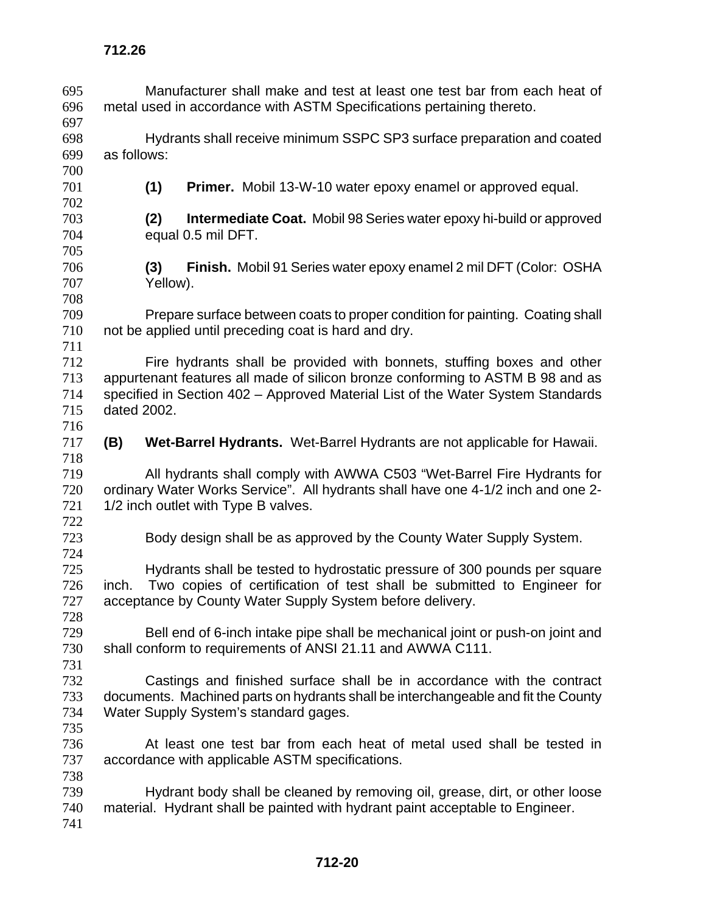Manufacturer shall make and test at least one test bar from each heat of metal used in accordance with ASTM Specifications pertaining thereto. Hydrants shall receive minimum SSPC SP3 surface preparation and coated as follows: **(1) Primer.** Mobil 13-W-10 water epoxy enamel or approved equal. **(2) Intermediate Coat.** Mobil 98 Series water epoxy hi-build or approved equal 0.5 mil DFT. **(3) Finish.** Mobil 91 Series water epoxy enamel 2 mil DFT (Color: OSHA Yellow). Prepare surface between coats to proper condition for painting. Coating shall not be applied until preceding coat is hard and dry. Fire hydrants shall be provided with bonnets, stuffing boxes and other appurtenant features all made of silicon bronze conforming to ASTM B 98 and as specified in Section 402 – Approved Material List of the Water System Standards dated 2002. **(B) Wet-Barrel Hydrants.** Wet-Barrel Hydrants are not applicable for Hawaii. All hydrants shall comply with AWWA C503 "Wet-Barrel Fire Hydrants for ordinary Water Works Service". All hydrants shall have one 4-1/2 inch and one 2- 721 1/2 inch outlet with Type B valves. Body design shall be as approved by the County Water Supply System. Hydrants shall be tested to hydrostatic pressure of 300 pounds per square inch. Two copies of certification of test shall be submitted to Engineer for acceptance by County Water Supply System before delivery. Bell end of 6-inch intake pipe shall be mechanical joint or push-on joint and shall conform to requirements of ANSI 21.11 and AWWA C111. Castings and finished surface shall be in accordance with the contract documents. Machined parts on hydrants shall be interchangeable and fit the County Water Supply System's standard gages. At least one test bar from each heat of metal used shall be tested in accordance with applicable ASTM specifications. Hydrant body shall be cleaned by removing oil, grease, dirt, or other loose material. Hydrant shall be painted with hydrant paint acceptable to Engineer.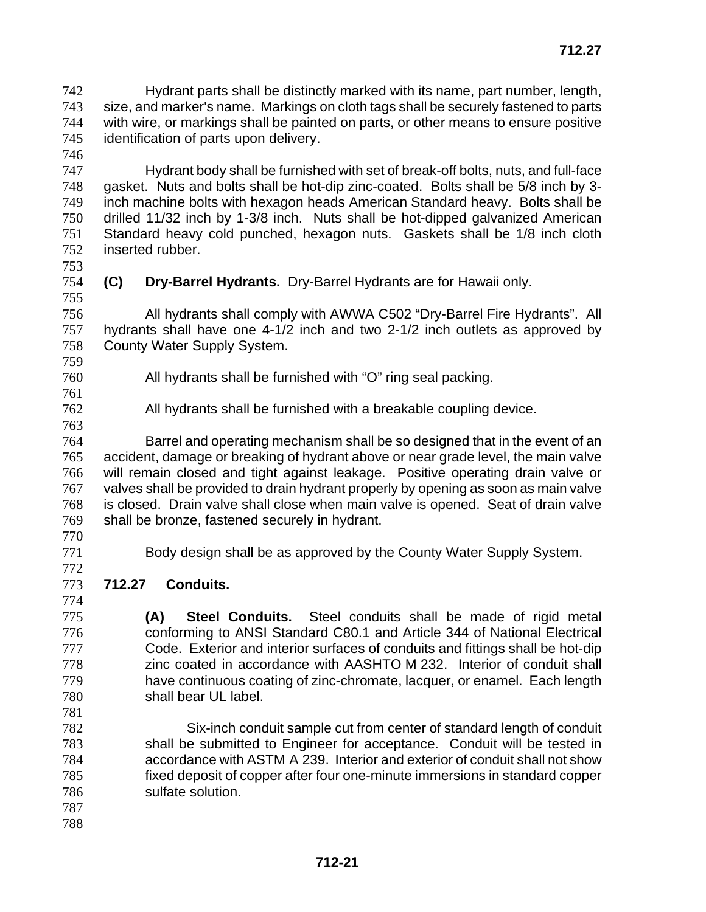Hydrant parts shall be distinctly marked with its name, part number, length, size, and marker's name. Markings on cloth tags shall be securely fastened to parts with wire, or markings shall be painted on parts, or other means to ensure positive identification of parts upon delivery.

Hydrant body shall be furnished with set of break-off bolts, nuts, and full-face gasket. Nuts and bolts shall be hot-dip zinc-coated. Bolts shall be 5/8 inch by 3- inch machine bolts with hexagon heads American Standard heavy. Bolts shall be drilled 11/32 inch by 1-3/8 inch. Nuts shall be hot-dipped galvanized American Standard heavy cold punched, hexagon nuts. Gaskets shall be 1/8 inch cloth inserted rubber.

**(C) Dry-Barrel Hydrants.** Dry-Barrel Hydrants are for Hawaii only.

All hydrants shall comply with AWWA C502 "Dry-Barrel Fire Hydrants". All hydrants shall have one 4-1/2 inch and two 2-1/2 inch outlets as approved by County Water Supply System.

- 
- 
- 

All hydrants shall be furnished with "O" ring seal packing.

- All hydrants shall be furnished with a breakable coupling device.
- Barrel and operating mechanism shall be so designed that in the event of an accident, damage or breaking of hydrant above or near grade level, the main valve will remain closed and tight against leakage. Positive operating drain valve or valves shall be provided to drain hydrant properly by opening as soon as main valve is closed. Drain valve shall close when main valve is opened. Seat of drain valve shall be bronze, fastened securely in hydrant.
- 
- 

Body design shall be as approved by the County Water Supply System.

**712.27 Conduits.** 

**(A) Steel Conduits.** Steel conduits shall be made of rigid metal conforming to ANSI Standard C80.1 and Article 344 of National Electrical Code. Exterior and interior surfaces of conduits and fittings shall be hot-dip zinc coated in accordance with AASHTO M 232. Interior of conduit shall have continuous coating of zinc-chromate, lacquer, or enamel. Each length shall bear UL label.

Six-inch conduit sample cut from center of standard length of conduit shall be submitted to Engineer for acceptance. Conduit will be tested in accordance with ASTM A 239. Interior and exterior of conduit shall not show fixed deposit of copper after four one-minute immersions in standard copper sulfate solution.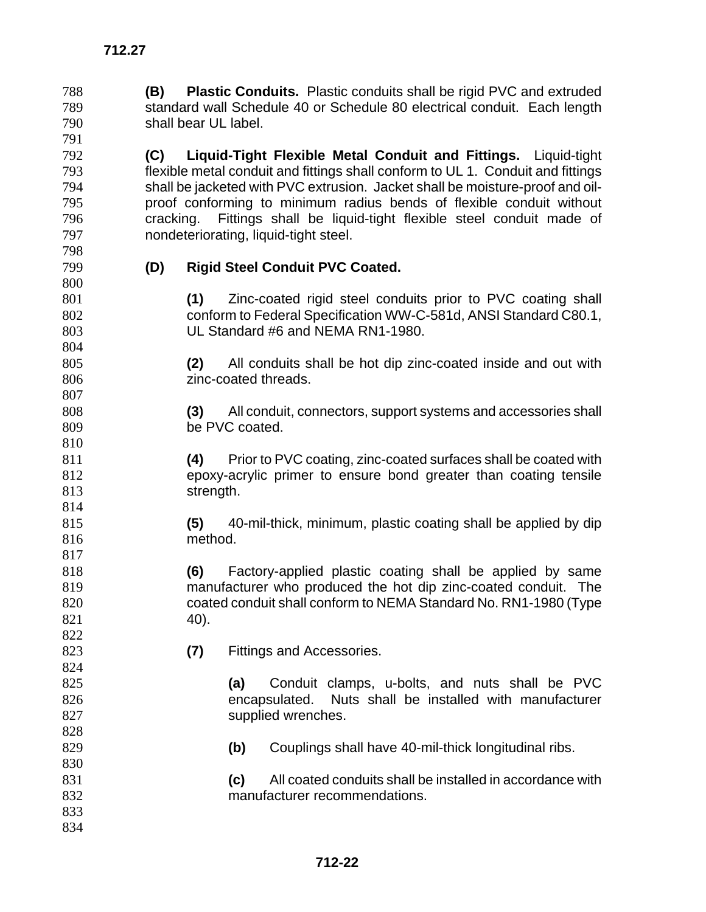standard wall Schedule 40 or Schedule 80 electrical conduit. Each length shall bear UL label. **(C) Liquid-Tight Flexible Metal Conduit and Fittings.** Liquid-tight flexible metal conduit and fittings shall conform to UL 1. Conduit and fittings shall be jacketed with PVC extrusion. Jacket shall be moisture-proof and oil-proof conforming to minimum radius bends of flexible conduit without cracking. Fittings shall be liquid-tight flexible steel conduit made of nondeteriorating, liquid-tight steel. **(D) Rigid Steel Conduit PVC Coated. (1)** Zinc-coated rigid steel conduits prior to PVC coating shall conform to Federal Specification WW-C-581d, ANSI Standard C80.1, UL Standard #6 and NEMA RN1-1980. **(2)** All conduits shall be hot dip zinc-coated inside and out with zinc-coated threads. **(3)** All conduit, connectors, support systems and accessories shall 809 be PVC coated. **(4)** Prior to PVC coating, zinc-coated surfaces shall be coated with epoxy-acrylic primer to ensure bond greater than coating tensile 813 strength. **(5)** 40-mil-thick, minimum, plastic coating shall be applied by dip method. **(6)** Factory-applied plastic coating shall be applied by same manufacturer who produced the hot dip zinc-coated conduit. The coated conduit shall conform to NEMA Standard No. RN1-1980 (Type **40**). **(7)** Fittings and Accessories. **(a)** Conduit clamps, u-bolts, and nuts shall be PVC encapsulated. Nuts shall be installed with manufacturer 827 supplied wrenches. 

**(B) Plastic Conduits.** Plastic conduits shall be rigid PVC and extruded

- **(b)** Couplings shall have 40-mil-thick longitudinal ribs.
- **(c)** All coated conduits shall be installed in accordance with manufacturer recommendations.
-